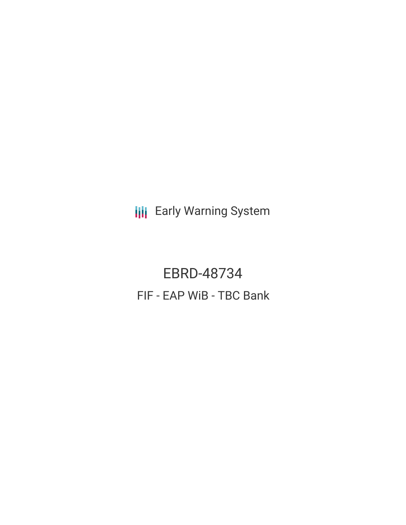**III** Early Warning System

EBRD-48734 FIF - EAP WiB - TBC Bank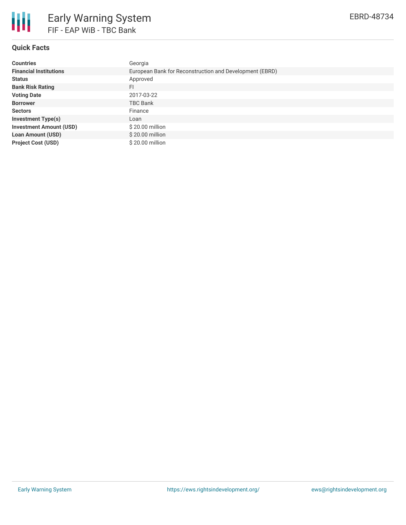

# **Quick Facts**

| <b>Countries</b>               | Georgia                                                 |
|--------------------------------|---------------------------------------------------------|
| <b>Financial Institutions</b>  | European Bank for Reconstruction and Development (EBRD) |
| <b>Status</b>                  | Approved                                                |
| <b>Bank Risk Rating</b>        | FI                                                      |
| <b>Voting Date</b>             | 2017-03-22                                              |
| <b>Borrower</b>                | <b>TBC Bank</b>                                         |
| <b>Sectors</b>                 | Finance                                                 |
| <b>Investment Type(s)</b>      | Loan                                                    |
| <b>Investment Amount (USD)</b> | \$20.00 million                                         |
| <b>Loan Amount (USD)</b>       | \$20.00 million                                         |
| <b>Project Cost (USD)</b>      | \$20.00 million                                         |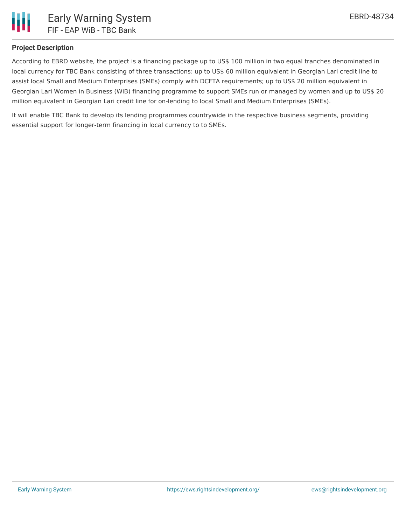

# **Project Description**

According to EBRD website, the project is a financing package up to US\$ 100 million in two equal tranches denominated in local currency for TBC Bank consisting of three transactions: up to US\$ 60 million equivalent in Georgian Lari credit line to assist local Small and Medium Enterprises (SMEs) comply with DCFTA requirements; up to US\$ 20 million equivalent in Georgian Lari Women in Business (WiB) financing programme to support SMEs run or managed by women and up to US\$ 20 million equivalent in Georgian Lari credit line for on-lending to local Small and Medium Enterprises (SMEs).

It will enable TBC Bank to develop its lending programmes countrywide in the respective business segments, providing essential support for longer-term financing in local currency to to SMEs.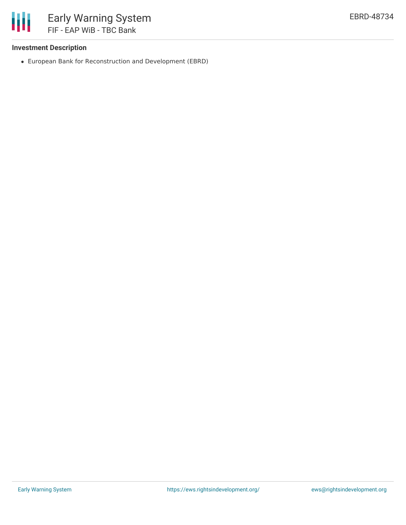

## **Investment Description**

European Bank for Reconstruction and Development (EBRD)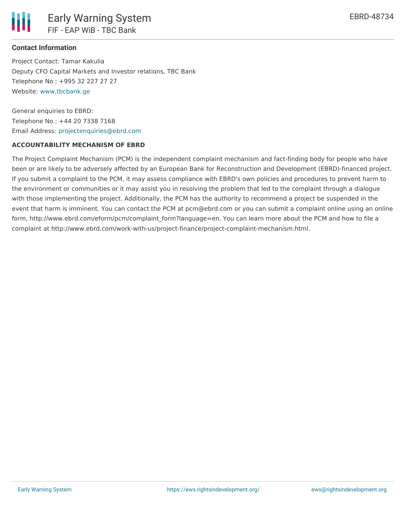

## **Contact Information**

Project Contact: Tamar Kakulia Deputy CFO Capital Markets and Investor relations, TBC Bank Telephone No.: +995 32 227 27 27 Website: [www.tbcbank.ge](http://www.tbcbank.ge/)

General enquiries to EBRD: Telephone No.: +44 20 7338 7168 Email Address: [projectenquiries@ebrd.com](mailto:projectenquiries@ebrd.com)

#### **ACCOUNTABILITY MECHANISM OF EBRD**

The Project Complaint Mechanism (PCM) is the independent complaint mechanism and fact-finding body for people who have been or are likely to be adversely affected by an European Bank for Reconstruction and Development (EBRD)-financed project. If you submit a complaint to the PCM, it may assess compliance with EBRD's own policies and procedures to prevent harm to the environment or communities or it may assist you in resolving the problem that led to the complaint through a dialogue with those implementing the project. Additionally, the PCM has the authority to recommend a project be suspended in the event that harm is imminent. You can contact the PCM at pcm@ebrd.com or you can submit a complaint online using an online form, http://www.ebrd.com/eform/pcm/complaint\_form?language=en. You can learn more about the PCM and how to file a complaint at http://www.ebrd.com/work-with-us/project-finance/project-complaint-mechanism.html.